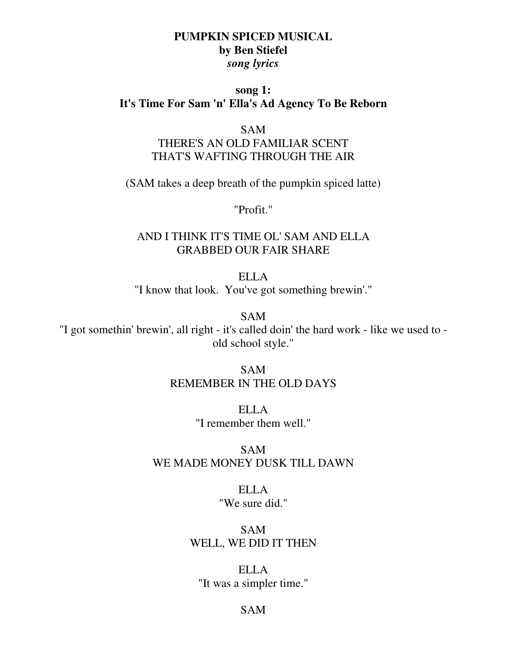## **PUMPKIN SPICED MUSICAL by Ben Stiefel**  *song lyrics*

## **song 1: It's Time For Sam 'n' Ella's Ad Agency To Be Reborn**

#### SAM

# THERE'S AN OLD FAMILIAR SCENT THAT'S WAFTING THROUGH THE AIR

(SAM takes a deep breath of the pumpkin spiced latte)

"Profit."

## AND I THINK IT'S TIME OL' SAM AND ELLA GRABBED OUR FAIR SHARE

ELLA "I know that look. You've got something brewin'."

SAM

"I got somethin' brewin', all right - it's called doin' the hard work - like we used to old school style."

> SAM REMEMBER IN THE OLD DAYS

> > ELLA "I remember them well."

SAM WE MADE MONEY DUSK TILL DAWN

> ELLA "We sure did."

SAM WELL, WE DID IT THEN

ELLA "It was a simpler time."

### SAM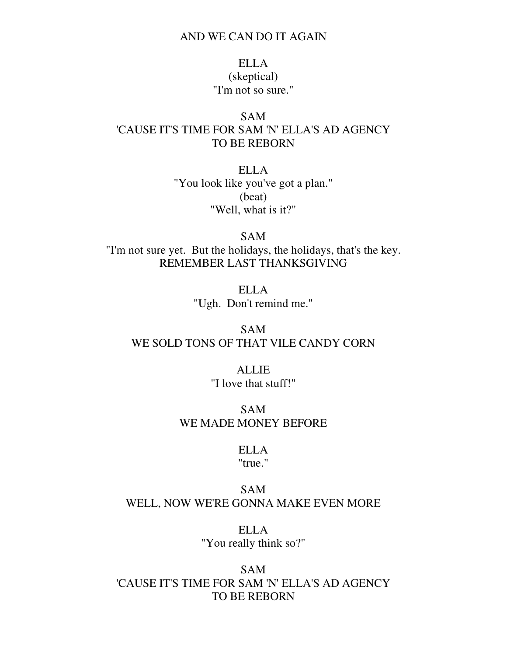#### AND WE CAN DO IT AGAIN

# ELLA (skeptical) "I'm not so sure."

## SAM 'CAUSE IT'S TIME FOR SAM 'N' ELLA'S AD AGENCY TO BE REBORN

ELLA "You look like you've got a plan." (beat) "Well, what is it?"

SAM "I'm not sure yet. But the holidays, the holidays, that's the key. REMEMBER LAST THANKSGIVING

> ELLA "Ugh. Don't remind me."

# SAM WE SOLD TONS OF THAT VILE CANDY CORN

ALLIE "I love that stuff!"

SAM WE MADE MONEY BEFORE

## ELLA

"true."

## SAM WELL, NOW WE'RE GONNA MAKE EVEN MORE

ELLA "You really think so?"

SAM 'CAUSE IT'S TIME FOR SAM 'N' ELLA'S AD AGENCY TO BE REBORN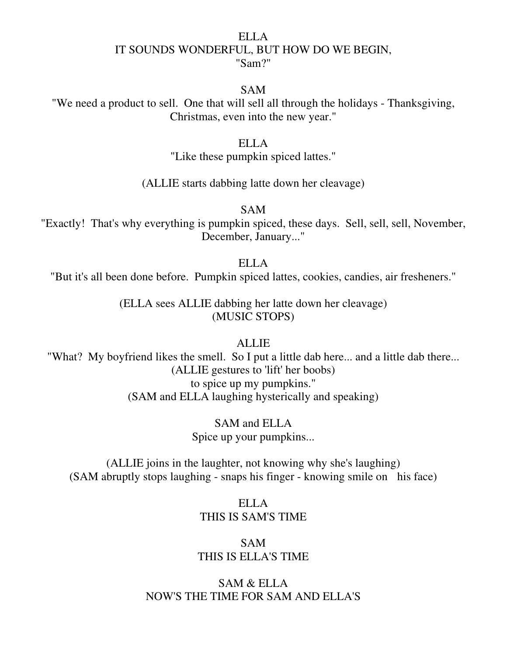### ELLA IT SOUNDS WONDERFUL, BUT HOW DO WE BEGIN, "Sam?"

#### SAM

"We need a product to sell. One that will sell all through the holidays - Thanksgiving, Christmas, even into the new year."

### ELLA

"Like these pumpkin spiced lattes."

### (ALLIE starts dabbing latte down her cleavage)

SAM

"Exactly! That's why everything is pumpkin spiced, these days. Sell, sell, sell, November, December, January..."

### ELLA

"But it's all been done before. Pumpkin spiced lattes, cookies, candies, air fresheners."

(ELLA sees ALLIE dabbing her latte down her cleavage) (MUSIC STOPS)

### ALLIE

"What? My boyfriend likes the smell. So I put a little dab here... and a little dab there... (ALLIE gestures to 'lift' her boobs) to spice up my pumpkins." (SAM and ELLA laughing hysterically and speaking)

> SAM and ELLA Spice up your pumpkins...

(ALLIE joins in the laughter, not knowing why she's laughing) (SAM abruptly stops laughing - snaps his finger - knowing smile on his face)

## ELLA THIS IS SAM'S TIME

## SAM THIS IS ELLA'S TIME

## SAM & ELLA NOW'S THE TIME FOR SAM AND ELLA'S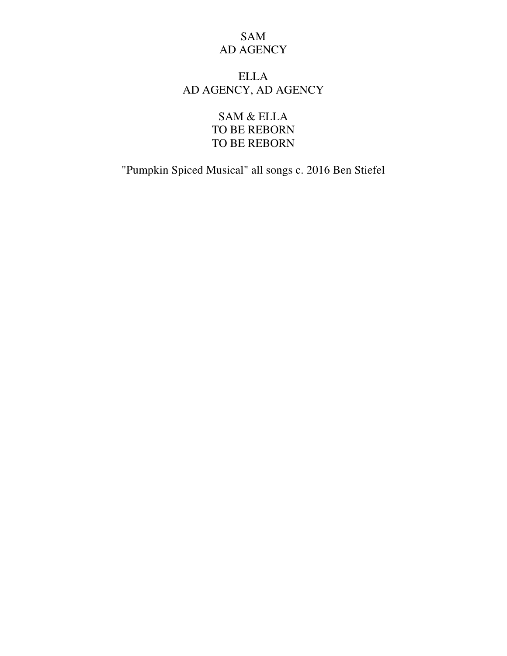# SAM AD AGENCY

# ELLA AD AGENCY, AD AGENCY

SAM & ELLA TO BE REBORN TO BE REBORN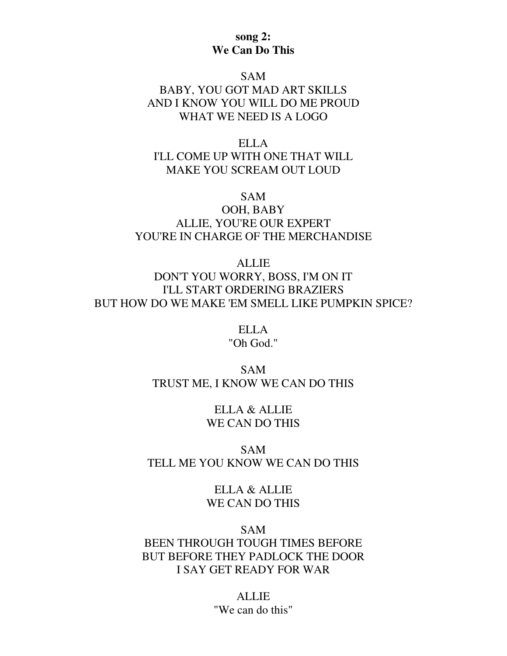## **song 2: We Can Do This**

#### SAM

# BABY, YOU GOT MAD ART SKILLS AND I KNOW YOU WILL DO ME PROUD WHAT WE NEED IS A LOGO

ELLA I'LL COME UP WITH ONE THAT WILL MAKE YOU SCREAM OUT LOUD

#### SAM

## OOH, BABY ALLIE, YOU'RE OUR EXPERT YOU'RE IN CHARGE OF THE MERCHANDISE

ALLIE DON'T YOU WORRY, BOSS, I'M ON IT I'LL START ORDERING BRAZIERS BUT HOW DO WE MAKE 'EM SMELL LIKE PUMPKIN SPICE?

> ELLA "Oh God."

## SAM TRUST ME, I KNOW WE CAN DO THIS

ELLA & ALLIE WE CAN DO THIS

## SAM TELL ME YOU KNOW WE CAN DO THIS

ELLA & ALLIE WE CAN DO THIS

#### SAM

# BEEN THROUGH TOUGH TIMES BEFORE BUT BEFORE THEY PADLOCK THE DOOR I SAY GET READY FOR WAR

ALLIE "We can do this"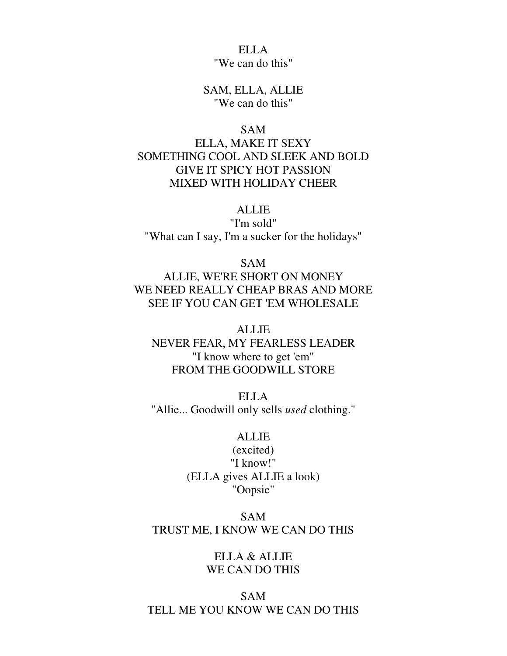ELLA "We can do this"

SAM, ELLA, ALLIE "We can do this"

#### SAM

ELLA, MAKE IT SEXY SOMETHING COOL AND SLEEK AND BOLD GIVE IT SPICY HOT PASSION MIXED WITH HOLIDAY CHEER

### ALLIE

"I'm sold" "What can I say, I'm a sucker for the holidays"

SAM

ALLIE, WE'RE SHORT ON MONEY WE NEED REALLY CHEAP BRAS AND MORE SEE IF YOU CAN GET 'EM WHOLESALE

**ALLIE** NEVER FEAR, MY FEARLESS LEADER "I know where to get 'em" FROM THE GOODWILL STORE

ELLA "Allie... Goodwill only sells *used* clothing."

#### ALLIE

(excited) "I know!" (ELLA gives ALLIE a look) "Oopsie"

## SAM TRUST ME, I KNOW WE CAN DO THIS

ELLA & ALLIE WE CAN DO THIS

SAM TELL ME YOU KNOW WE CAN DO THIS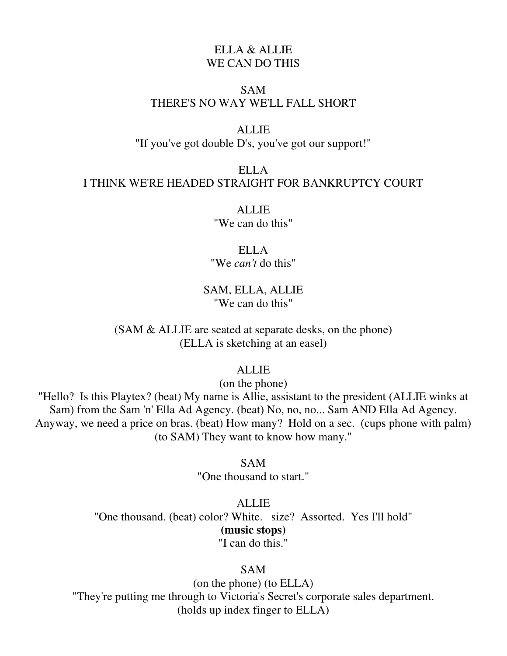# ELLA & ALLIE WE CAN DO THIS

### SAM THERE'S NO WAY WE'LL FALL SHORT

#### ALLIE

"If you've got double D's, you've got our support!"

# ELLA I THINK WE'RE HEADED STRAIGHT FOR BANKRUPTCY COURT

**ALLIE** "We can do this"

ELLA "We *can't* do this"

SAM, ELLA, ALLIE "We can do this"

(SAM & ALLIE are seated at separate desks, on the phone) (ELLA is sketching at an easel)

ALLIE

(on the phone)

"Hello? Is this Playtex? (beat) My name is Allie, assistant to the president (ALLIE winks at Sam) from the Sam 'n' Ella Ad Agency. (beat) No, no, no... Sam AND Ella Ad Agency. Anyway, we need a price on bras. (beat) How many? Hold on a sec. (cups phone with palm) (to SAM) They want to know how many."

> SAM "One thousand to start."

ALLIE "One thousand. (beat) color? White. size? Assorted. Yes I'll hold" **(music stops)**  "I can do this."

SAM

(on the phone) (to ELLA) "They're putting me through to Victoria's Secret's corporate sales department. (holds up index finger to ELLA)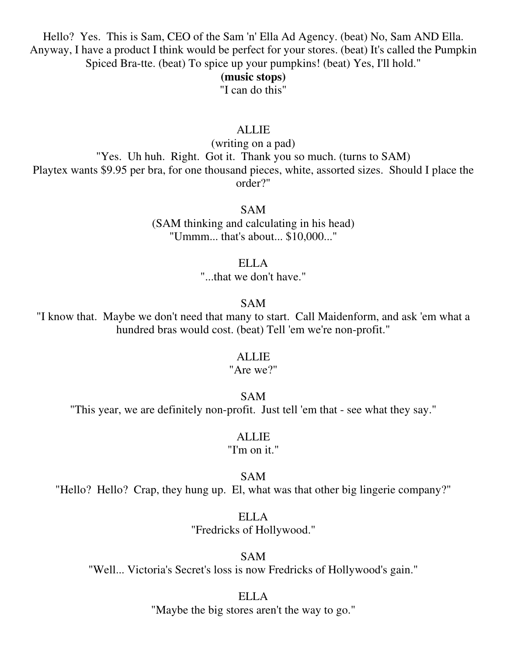Hello? Yes. This is Sam, CEO of the Sam 'n' Ella Ad Agency. (beat) No, Sam AND Ella. Anyway, I have a product I think would be perfect for your stores. (beat) It's called the Pumpkin Spiced Bra-tte. (beat) To spice up your pumpkins! (beat) Yes, I'll hold."

#### **(music stops)**

"I can do this"

## ALLIE

(writing on a pad) "Yes. Uh huh. Right. Got it. Thank you so much. (turns to SAM) Playtex wants \$9.95 per bra, for one thousand pieces, white, assorted sizes. Should I place the order?"

SAM

(SAM thinking and calculating in his head) "Ummm... that's about... \$10,000..."

ELLA

"...that we don't have."

### SAM

"I know that. Maybe we don't need that many to start. Call Maidenform, and ask 'em what a hundred bras would cost. (beat) Tell 'em we're non-profit."

#### **ALLIE**

## "Are we?"

### SAM

"This year, we are definitely non-profit. Just tell 'em that - see what they say."

### ALLIE

## "I'm on it."

#### SAM

"Hello? Hello? Crap, they hung up. El, what was that other big lingerie company?"

ELLA "Fredricks of Hollywood."

SAM

"Well... Victoria's Secret's loss is now Fredricks of Hollywood's gain."

### ELLA

"Maybe the big stores aren't the way to go."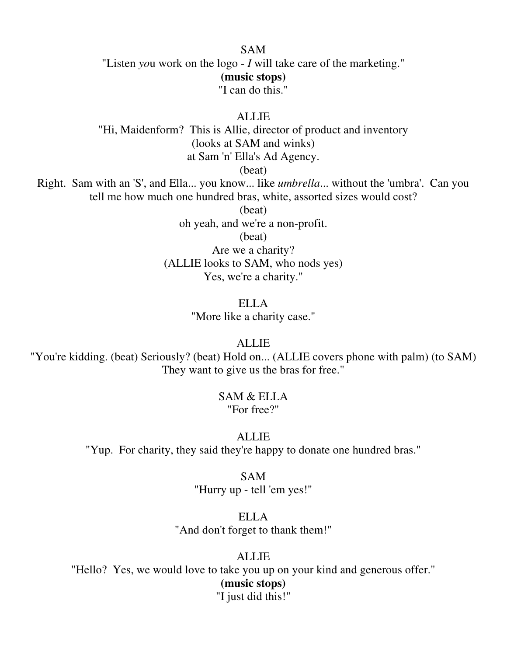#### SAM

"Listen *yo*u work on the logo - *I* will take care of the marketing." **(music stops)**  "I can do this."

ALLIE

"Hi, Maidenform? This is Allie, director of product and inventory (looks at SAM and winks) at Sam 'n' Ella's Ad Agency.

(beat)

Right. Sam with an 'S', and Ella... you know... like *umbrella*... without the 'umbra'. Can you tell me how much one hundred bras, white, assorted sizes would cost?

(beat)

oh yeah, and we're a non-profit.

(beat)

Are we a charity? (ALLIE looks to SAM, who nods yes) Yes, we're a charity."

> ELLA "More like a charity case."

> > ALLIE

"You're kidding. (beat) Seriously? (beat) Hold on... (ALLIE covers phone with palm) (to SAM) They want to give us the bras for free."

#### SAM & ELLA "For free?"

**ALLIE** 

"Yup. For charity, they said they're happy to donate one hundred bras."

#### SAM

"Hurry up - tell 'em yes!"

ELLA "And don't forget to thank them!"

ALLIE

"Hello? Yes, we would love to take you up on your kind and generous offer." **(music stops)**  "I just did this!"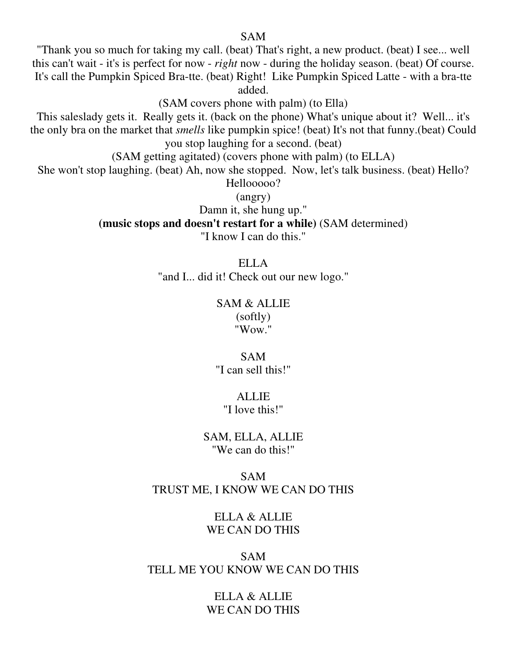### SAM

"Thank you so much for taking my call. (beat) That's right, a new product. (beat) I see... well this can't wait - it's is perfect for now - *right* now - during the holiday season. (beat) Of course. It's call the Pumpkin Spiced Bra-tte. (beat) Right! Like Pumpkin Spiced Latte - with a bra-tte added.

(SAM covers phone with palm) (to Ella)

This saleslady gets it. Really gets it. (back on the phone) What's unique about it? Well... it's the only bra on the market that *smells* like pumpkin spice! (beat) It's not that funny.(beat) Could you stop laughing for a second. (beat)

(SAM getting agitated) (covers phone with palm) (to ELLA)

She won't stop laughing. (beat) Ah, now she stopped. Now, let's talk business. (beat) Hello? Hellooooo?

(angry)

Damn it, she hung up."

**(music stops and doesn't restart for a while)** (SAM determined)

"I know I can do this."

ELLA "and I... did it! Check out our new logo."

## SAM & ALLIE (softly) "Wow."

SAM "I can sell this!"

## **ALLIE**

"I love this!"

SAM, ELLA, ALLIE "We can do this!"

### SAM TRUST ME, I KNOW WE CAN DO THIS

ELLA & ALLIE WE CAN DO THIS

SAM TELL ME YOU KNOW WE CAN DO THIS

> ELLA & ALLIE WE CAN DO THIS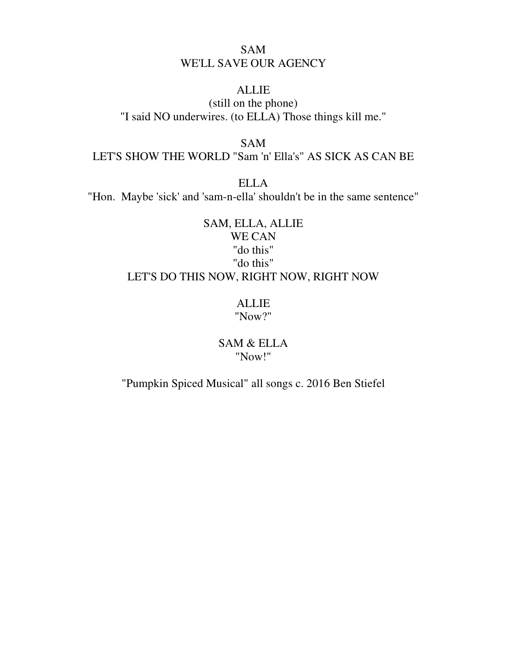# SAM WE'LL SAVE OUR AGENCY

## ALLIE

(still on the phone) "I said NO underwires. (to ELLA) Those things kill me."

### SAM

LET'S SHOW THE WORLD "Sam 'n' Ella's" AS SICK AS CAN BE

ELLA

"Hon. Maybe 'sick' and 'sam-n-ella' shouldn't be in the same sentence"

# SAM, ELLA, ALLIE WE CAN "do this" "do this" LET'S DO THIS NOW, RIGHT NOW, RIGHT NOW

## ALLIE "Now?"

SAM & ELLA "Now!"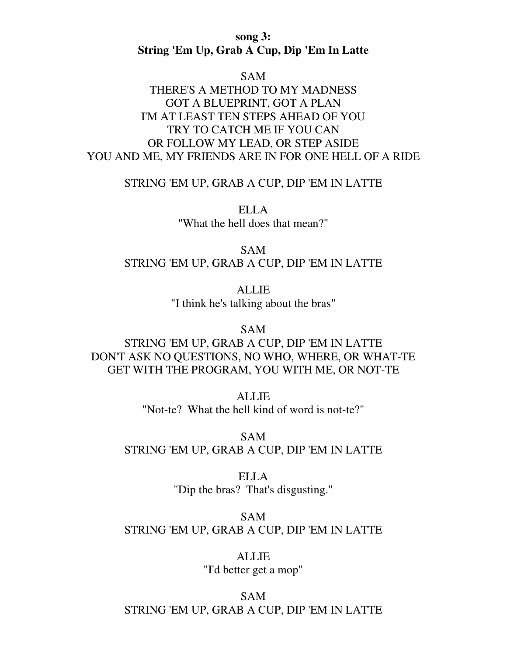**song 3: String 'Em Up, Grab A Cup, Dip 'Em In Latte** 

SAM

# THERE'S A METHOD TO MY MADNESS GOT A BLUEPRINT, GOT A PLAN I'M AT LEAST TEN STEPS AHEAD OF YOU TRY TO CATCH ME IF YOU CAN OR FOLLOW MY LEAD, OR STEP ASIDE YOU AND ME, MY FRIENDS ARE IN FOR ONE HELL OF A RIDE

STRING 'EM UP, GRAB A CUP, DIP 'EM IN LATTE

ELLA "What the hell does that mean?"

SAM STRING 'EM UP, GRAB A CUP, DIP 'EM IN LATTE

> ALLIE "I think he's talking about the bras"

> > SAM

STRING 'EM UP, GRAB A CUP, DIP 'EM IN LATTE DON'T ASK NO QUESTIONS, NO WHO, WHERE, OR WHAT-TE GET WITH THE PROGRAM, YOU WITH ME, OR NOT-TE

> **ALLIE** "Not-te? What the hell kind of word is not-te?"

SAM STRING 'EM UP, GRAB A CUP, DIP 'EM IN LATTE

> ELLA "Dip the bras? That's disgusting."

SAM STRING 'EM UP, GRAB A CUP, DIP 'EM IN LATTE

> ALLIE "I'd better get a mop"

SAM STRING 'EM UP, GRAB A CUP, DIP 'EM IN LATTE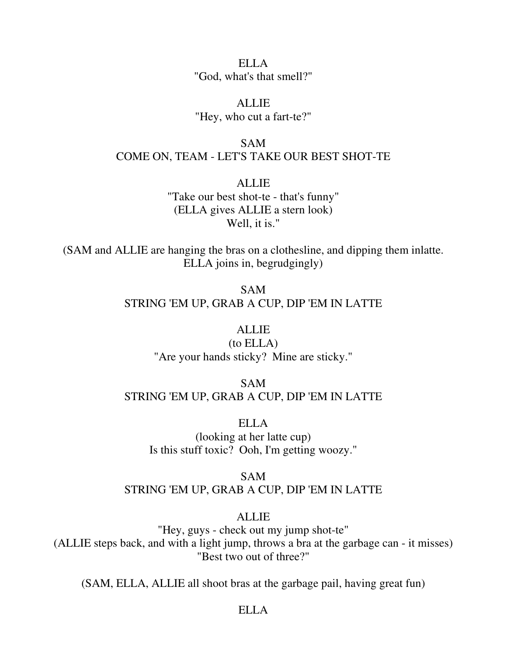ELLA "God, what's that smell?"

**ALLIE** "Hey, who cut a fart-te?"

SAM COME ON, TEAM - LET'S TAKE OUR BEST SHOT-TE

> **ALLIE** "Take our best shot-te - that's funny" (ELLA gives ALLIE a stern look) Well, it is."

(SAM and ALLIE are hanging the bras on a clothesline, and dipping them inlatte. ELLA joins in, begrudgingly)

> SAM STRING 'EM UP, GRAB A CUP, DIP 'EM IN LATTE

## ALLIE

(to ELLA) "Are your hands sticky? Mine are sticky."

SAM STRING 'EM UP, GRAB A CUP, DIP 'EM IN LATTE

ELLA (looking at her latte cup) Is this stuff toxic? Ooh, I'm getting woozy."

SAM STRING 'EM UP, GRAB A CUP, DIP 'EM IN LATTE

### **ALLIE**

"Hey, guys - check out my jump shot-te" (ALLIE steps back, and with a light jump, throws a bra at the garbage can - it misses) "Best two out of three?"

(SAM, ELLA, ALLIE all shoot bras at the garbage pail, having great fun)

### ELLA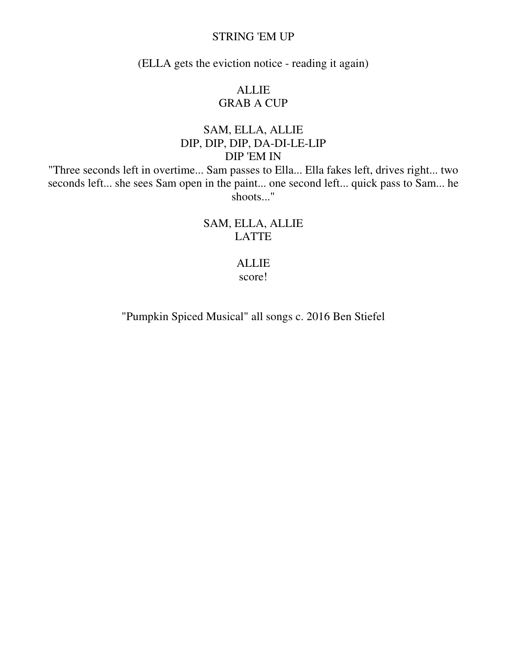### STRING 'EM UP

(ELLA gets the eviction notice - reading it again)

# ALLIE GRAB A CUP

# SAM, ELLA, ALLIE DIP, DIP, DIP, DA-DI-LE-LIP DIP 'EM IN

"Three seconds left in overtime... Sam passes to Ella... Ella fakes left, drives right... two seconds left... she sees Sam open in the paint... one second left... quick pass to Sam... he shoots..."

> SAM, ELLA, ALLIE LATTE

### ALLIE score!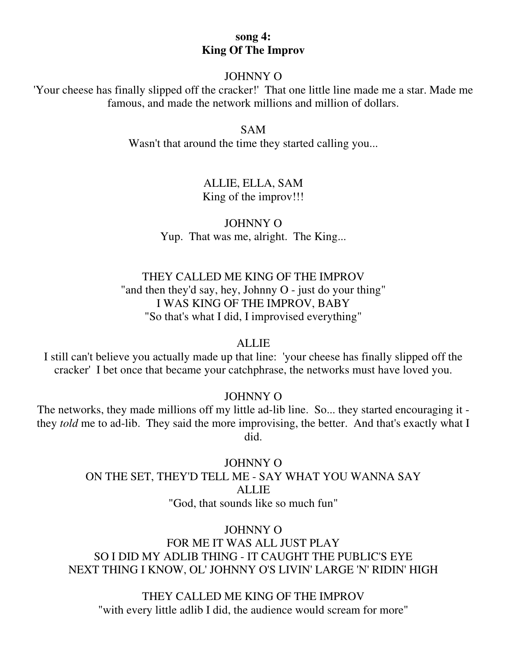## **song 4: King Of The Improv**

### JOHNNY O

'Your cheese has finally slipped off the cracker!' That one little line made me a star. Made me famous, and made the network millions and million of dollars.

#### SAM

Wasn't that around the time they started calling you...

## ALLIE, ELLA, SAM King of the improv!!!

JOHNNY O Yup. That was me, alright. The King...

# THEY CALLED ME KING OF THE IMPROV "and then they'd say, hey, Johnny O - just do your thing" I WAS KING OF THE IMPROV, BABY "So that's what I did, I improvised everything"

## **ALLIE**

I still can't believe you actually made up that line: 'your cheese has finally slipped off the cracker' I bet once that became your catchphrase, the networks must have loved you.

## JOHNNY O

The networks, they made millions off my little ad-lib line. So... they started encouraging it they *told* me to ad-lib. They said the more improvising, the better. And that's exactly what I did.

> JOHNNY O ON THE SET, THEY'D TELL ME - SAY WHAT YOU WANNA SAY ALLIE "God, that sounds like so much fun"

### JOHNNY O

FOR ME IT WAS ALL JUST PLAY SO I DID MY ADLIB THING - IT CAUGHT THE PUBLIC'S EYE NEXT THING I KNOW, OL' JOHNNY O'S LIVIN' LARGE 'N' RIDIN' HIGH

THEY CALLED ME KING OF THE IMPROV "with every little adlib I did, the audience would scream for more"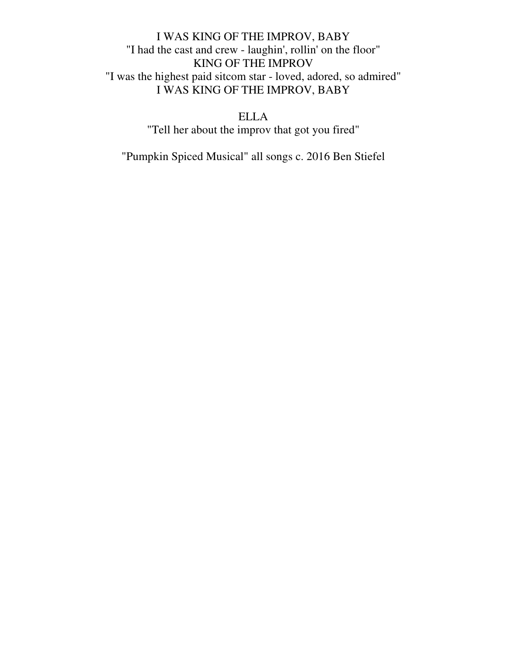# I WAS KING OF THE IMPROV, BABY "I had the cast and crew - laughin', rollin' on the floor" KING OF THE IMPROV "I was the highest paid sitcom star - loved, adored, so admired" I WAS KING OF THE IMPROV, BABY

ELLA "Tell her about the improv that got you fired"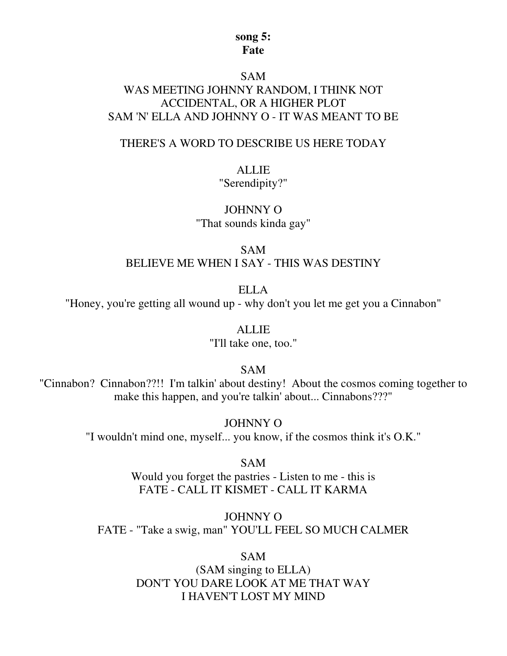### **song 5: Fate**

#### SAM

# WAS MEETING JOHNNY RANDOM, I THINK NOT ACCIDENTAL, OR A HIGHER PLOT SAM 'N' ELLA AND JOHNNY O - IT WAS MEANT TO BE

### THERE'S A WORD TO DESCRIBE US HERE TODAY

### ALLIE

"Serendipity?"

JOHNNY O "That sounds kinda gay"

SAM BELIEVE ME WHEN I SAY - THIS WAS DESTINY

ELLA "Honey, you're getting all wound up - why don't you let me get you a Cinnabon"

ALLIE

"I'll take one, too."

SAM

"Cinnabon? Cinnabon??!! I'm talkin' about destiny! About the cosmos coming together to make this happen, and you're talkin' about... Cinnabons???"

JOHNNY O

"I wouldn't mind one, myself... you know, if the cosmos think it's O.K."

SAM Would you forget the pastries - Listen to me - this is FATE - CALL IT KISMET - CALL IT KARMA

JOHNNY O FATE - "Take a swig, man" YOU'LL FEEL SO MUCH CALMER

SAM

(SAM singing to ELLA) DON'T YOU DARE LOOK AT ME THAT WAY I HAVEN'T LOST MY MIND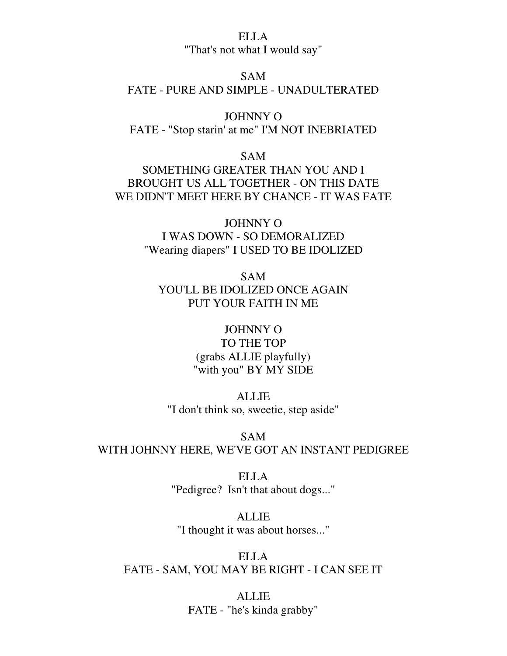### ELLA "That's not what I would say"

## SAM

## FATE - PURE AND SIMPLE - UNADULTERATED

JOHNNY O FATE - "Stop starin' at me" I'M NOT INEBRIATED

### SAM

SOMETHING GREATER THAN YOU AND I BROUGHT US ALL TOGETHER - ON THIS DATE WE DIDN'T MEET HERE BY CHANCE - IT WAS FATE

> JOHNNY O I WAS DOWN - SO DEMORALIZED "Wearing diapers" I USED TO BE IDOLIZED

SAM YOU'LL BE IDOLIZED ONCE AGAIN PUT YOUR FAITH IN ME

# JOHNNY O TO THE TOP (grabs ALLIE playfully) "with you" BY MY SIDE

ALLIE "I don't think so, sweetie, step aside"

SAM WITH JOHNNY HERE, WE'VE GOT AN INSTANT PEDIGREE

> ELLA "Pedigree? Isn't that about dogs..."

ALLIE "I thought it was about horses..."

ELLA FATE - SAM, YOU MAY BE RIGHT - I CAN SEE IT

> ALLIE FATE - "he's kinda grabby"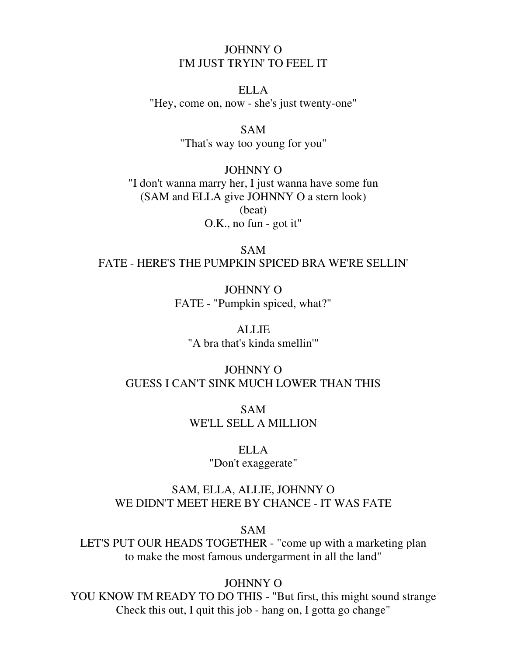## JOHNNY O I'M JUST TRYIN' TO FEEL IT

ELLA "Hey, come on, now - she's just twenty-one"

## SAM

"That's way too young for you"

JOHNNY O "I don't wanna marry her, I just wanna have some fun (SAM and ELLA give JOHNNY O a stern look) (beat) O.K., no fun - got it"

SAM FATE - HERE'S THE PUMPKIN SPICED BRA WE'RE SELLIN'

> JOHNNY O FATE - "Pumpkin spiced, what?"

ALLIE "A bra that's kinda smellin'"

## JOHNNY O GUESS I CAN'T SINK MUCH LOWER THAN THIS

SAM WE'LL SELL A MILLION

#### ELLA

"Don't exaggerate"

## SAM, ELLA, ALLIE, JOHNNY O WE DIDN'T MEET HERE BY CHANCE - IT WAS FATE

SAM

LET'S PUT OUR HEADS TOGETHER - "come up with a marketing plan to make the most famous undergarment in all the land"

## JOHNNY O

YOU KNOW I'M READY TO DO THIS - "But first, this might sound strange Check this out, I quit this job - hang on, I gotta go change"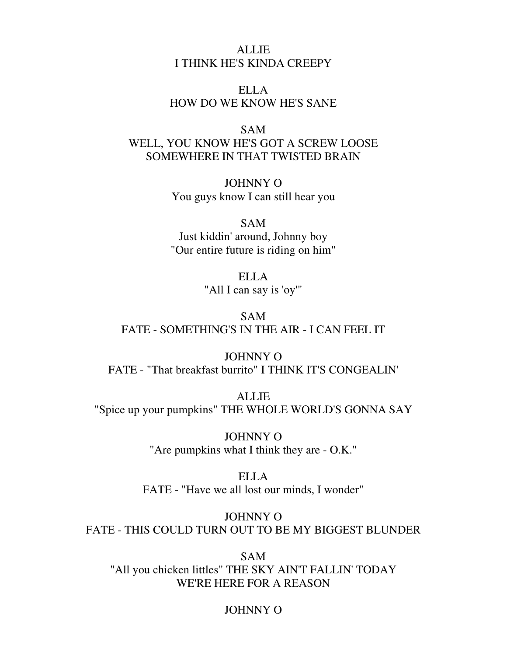## ALLIE I THINK HE'S KINDA CREEPY

## ELLA HOW DO WE KNOW HE'S SANE

#### SAM

WELL, YOU KNOW HE'S GOT A SCREW LOOSE SOMEWHERE IN THAT TWISTED BRAIN

> JOHNNY O You guys know I can still hear you

#### SAM

Just kiddin' around, Johnny boy "Our entire future is riding on him"

> ELLA "All I can say is 'oy'"

SAM FATE - SOMETHING'S IN THE AIR - I CAN FEEL IT

JOHNNY O FATE - "That breakfast burrito" I THINK IT'S CONGEALIN'

ALLIE "Spice up your pumpkins" THE WHOLE WORLD'S GONNA SAY

> JOHNNY O "Are pumpkins what I think they are - O.K."

ELLA FATE - "Have we all lost our minds, I wonder"

JOHNNY O FATE - THIS COULD TURN OUT TO BE MY BIGGEST BLUNDER

SAM "All you chicken littles" THE SKY AIN'T FALLIN' TODAY WE'RE HERE FOR A REASON

## JOHNNY O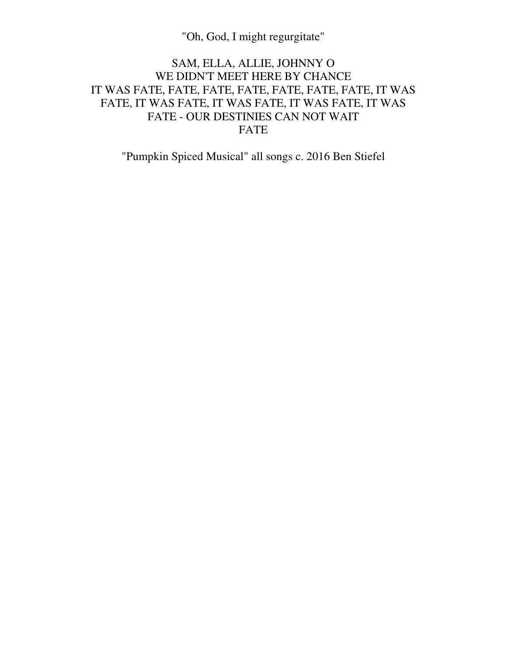"Oh, God, I might regurgitate"

# SAM, ELLA, ALLIE, JOHNNY O WE DIDN'T MEET HERE BY CHANCE IT WAS FATE, FATE, FATE, FATE, FATE, FATE, FATE, IT WAS FATE, IT WAS FATE, IT WAS FATE, IT WAS FATE, IT WAS FATE - OUR DESTINIES CAN NOT WAIT FATE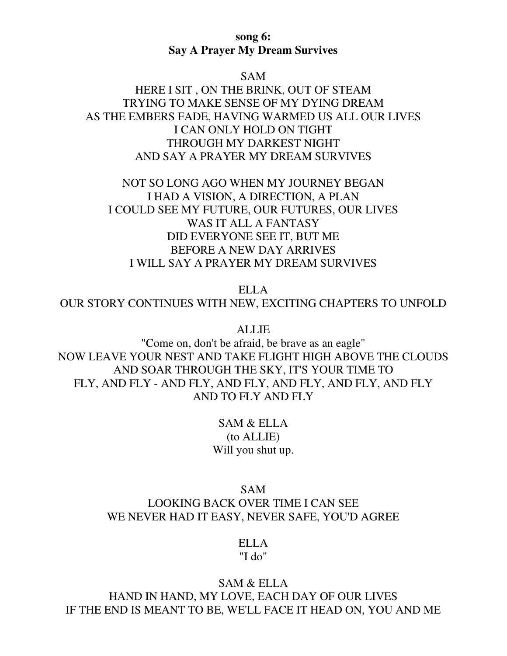### **song 6: Say A Prayer My Dream Survives**

#### SAM

HERE I SIT , ON THE BRINK, OUT OF STEAM TRYING TO MAKE SENSE OF MY DYING DREAM AS THE EMBERS FADE, HAVING WARMED US ALL OUR LIVES I CAN ONLY HOLD ON TIGHT THROUGH MY DARKEST NIGHT AND SAY A PRAYER MY DREAM SURVIVES

NOT SO LONG AGO WHEN MY JOURNEY BEGAN I HAD A VISION, A DIRECTION, A PLAN I COULD SEE MY FUTURE, OUR FUTURES, OUR LIVES WAS IT ALL A FANTASY DID EVERYONE SEE IT, BUT ME BEFORE A NEW DAY ARRIVES I WILL SAY A PRAYER MY DREAM SURVIVES

ELLA

OUR STORY CONTINUES WITH NEW, EXCITING CHAPTERS TO UNFOLD

ALLIE

"Come on, don't be afraid, be brave as an eagle" NOW LEAVE YOUR NEST AND TAKE FLIGHT HIGH ABOVE THE CLOUDS AND SOAR THROUGH THE SKY, IT'S YOUR TIME TO FLY, AND FLY - AND FLY, AND FLY, AND FLY, AND FLY, AND FLY AND TO FLY AND FLY

> SAM & ELLA (to ALLIE) Will you shut up.

SAM LOOKING BACK OVER TIME I CAN SEE WE NEVER HAD IT EASY, NEVER SAFE, YOU'D AGREE

> ELLA "I do"

#### SAM & ELLA

HAND IN HAND, MY LOVE, EACH DAY OF OUR LIVES IF THE END IS MEANT TO BE, WE'LL FACE IT HEAD ON, YOU AND ME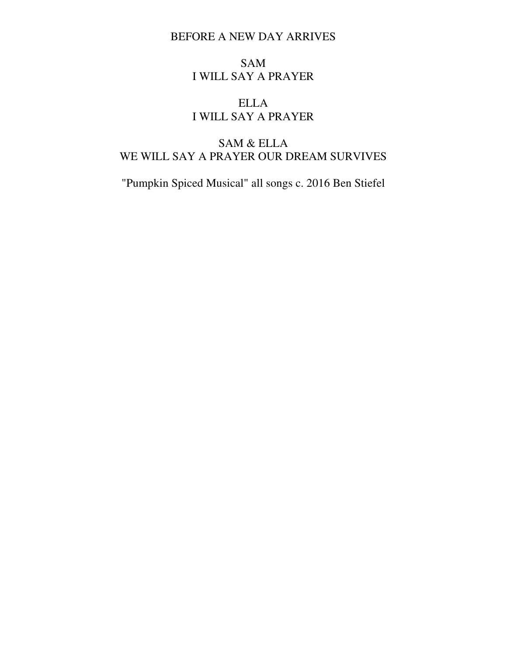## BEFORE A NEW DAY ARRIVES

## SAM I WILL SAY A PRAYER

# ELLA I WILL SAY A PRAYER

# SAM & ELLA WE WILL SAY A PRAYER OUR DREAM SURVIVES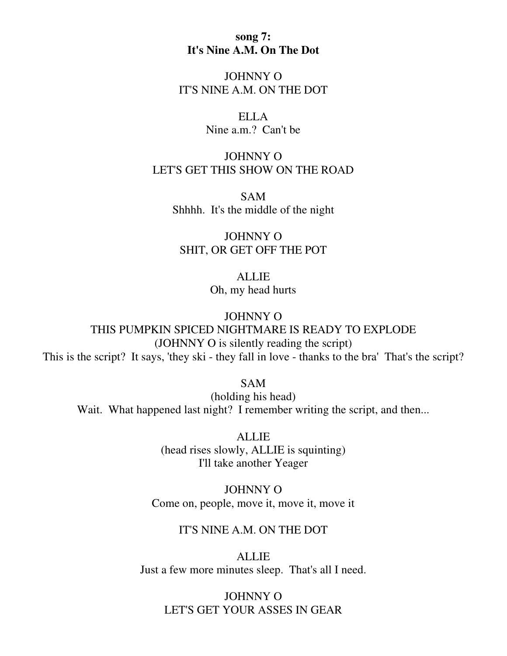**song 7: It's Nine A.M. On The Dot** 

JOHNNY O IT'S NINE A.M. ON THE DOT

> ELLA Nine a.m.? Can't be

# JOHNNY O LET'S GET THIS SHOW ON THE ROAD

SAM Shhhh. It's the middle of the night

JOHNNY O SHIT, OR GET OFF THE POT

> **ALLIE** Oh, my head hurts

JOHNNY O THIS PUMPKIN SPICED NIGHTMARE IS READY TO EXPLODE (JOHNNY O is silently reading the script) This is the script? It says, 'they ski - they fall in love - thanks to the bra' That's the script?

SAM

(holding his head) Wait. What happened last night? I remember writing the script, and then...

> ALLIE (head rises slowly, ALLIE is squinting) I'll take another Yeager

JOHNNY O Come on, people, move it, move it, move it

### IT'S NINE A.M. ON THE DOT

ALLIE Just a few more minutes sleep. That's all I need.

JOHNNY O LET'S GET YOUR ASSES IN GEAR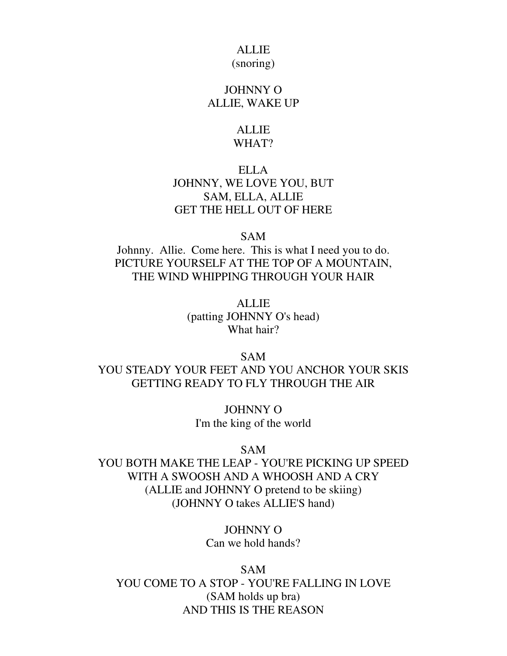# ALLIE

### (snoring)

### JOHNNY O ALLIE, WAKE UP

### ALLIE WHAT?

# ELLA JOHNNY, WE LOVE YOU, BUT SAM, ELLA, ALLIE GET THE HELL OUT OF HERE

SAM

Johnny. Allie. Come here. This is what I need you to do. PICTURE YOURSELF AT THE TOP OF A MOUNTAIN, THE WIND WHIPPING THROUGH YOUR HAIR

> ALLIE (patting JOHNNY O's head) What hair?

# SAM YOU STEADY YOUR FEET AND YOU ANCHOR YOUR SKIS GETTING READY TO FLY THROUGH THE AIR

JOHNNY O I'm the king of the world

#### SAM

YOU BOTH MAKE THE LEAP - YOU'RE PICKING UP SPEED WITH A SWOOSH AND A WHOOSH AND A CRY (ALLIE and JOHNNY O pretend to be skiing) (JOHNNY O takes ALLIE'S hand)

> JOHNNY O Can we hold hands?

SAM YOU COME TO A STOP - YOU'RE FALLING IN LOVE (SAM holds up bra) AND THIS IS THE REASON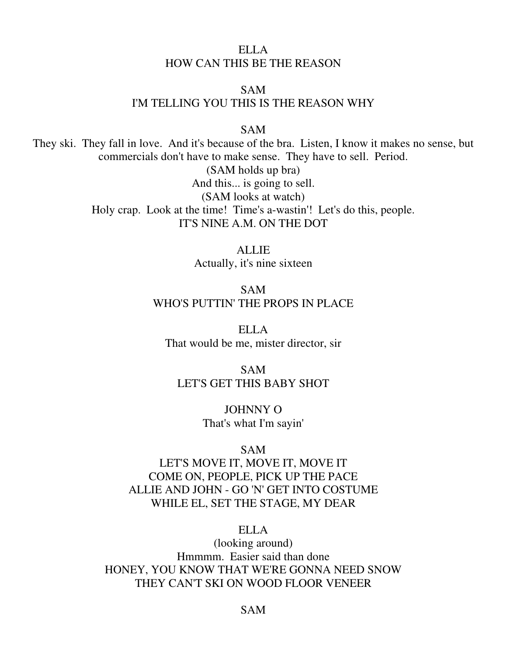# ELLA HOW CAN THIS BE THE REASON

## SAM I'M TELLING YOU THIS IS THE REASON WHY

SAM

They ski. They fall in love. And it's because of the bra. Listen, I know it makes no sense, but commercials don't have to make sense. They have to sell. Period.

> (SAM holds up bra) And this... is going to sell. (SAM looks at watch) Holy crap. Look at the time! Time's a-wastin'! Let's do this, people. IT'S NINE A.M. ON THE DOT

> > **ALLIE** Actually, it's nine sixteen

SAM WHO'S PUTTIN' THE PROPS IN PLACE

ELLA That would be me, mister director, sir

SAM LET'S GET THIS BABY SHOT

> JOHNNY O That's what I'm sayin'

#### SAM

LET'S MOVE IT, MOVE IT, MOVE IT COME ON, PEOPLE, PICK UP THE PACE ALLIE AND JOHN - GO 'N' GET INTO COSTUME WHILE EL, SET THE STAGE, MY DEAR

## ELLA

(looking around) Hmmmm. Easier said than done HONEY, YOU KNOW THAT WE'RE GONNA NEED SNOW THEY CAN'T SKI ON WOOD FLOOR VENEER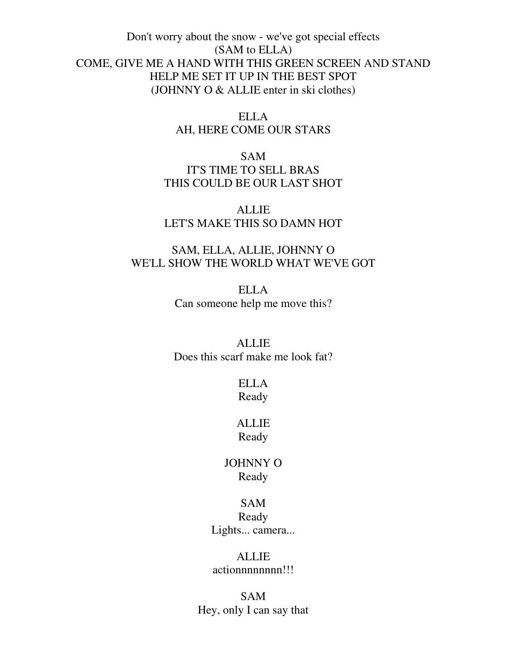Don't worry about the snow - we've got special effects (SAM to ELLA) COME, GIVE ME A HAND WITH THIS GREEN SCREEN AND STAND HELP ME SET IT UP IN THE BEST SPOT (JOHNNY O & ALLIE enter in ski clothes)

> ELLA AH, HERE COME OUR STARS

SAM IT'S TIME TO SELL BRAS THIS COULD BE OUR LAST SHOT

ALLIE LET'S MAKE THIS SO DAMN HOT

# SAM, ELLA, ALLIE, JOHNNY O WE'LL SHOW THE WORLD WHAT WE'VE GOT

ELLA Can someone help me move this?

ALLIE

Does this scarf make me look fat?

ELLA Ready

ALLIE Ready

JOHNNY O Ready

# SAM Ready Lights... camera...

ALLIE actionnnnnnnn!!!

SAM Hey, only I can say that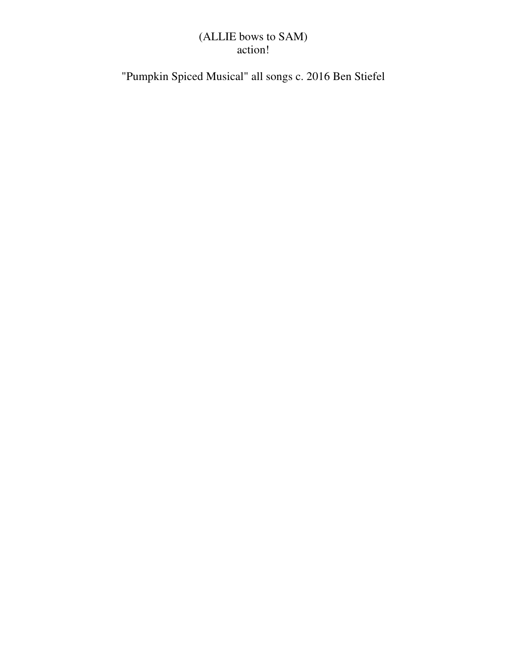# (ALLIE bows to SAM) action!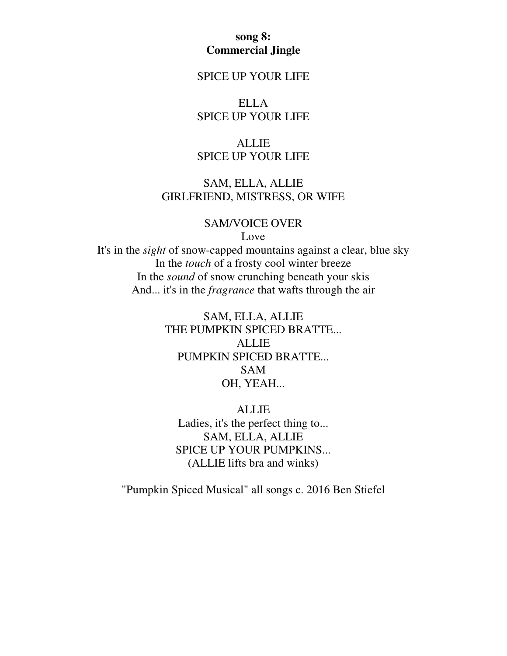## **song 8: Commercial Jingle**

## SPICE UP YOUR LIFE

ELLA SPICE UP YOUR LIFE

## ALLIE SPICE UP YOUR LIFE

# SAM, ELLA, ALLIE GIRLFRIEND, MISTRESS, OR WIFE

### SAM/VOICE OVER

Love

It's in the *sight* of snow-capped mountains against a clear, blue sky In the *touch* of a frosty cool winter breeze In the *sound* of snow crunching beneath your skis And... it's in the *fragrance* that wafts through the air

> SAM, ELLA, ALLIE THE PUMPKIN SPICED BRATTE... ALLIE PUMPKIN SPICED BRATTE... SAM OH, YEAH...

ALLIE Ladies, it's the perfect thing to... SAM, ELLA, ALLIE SPICE UP YOUR PUMPKINS... (ALLIE lifts bra and winks)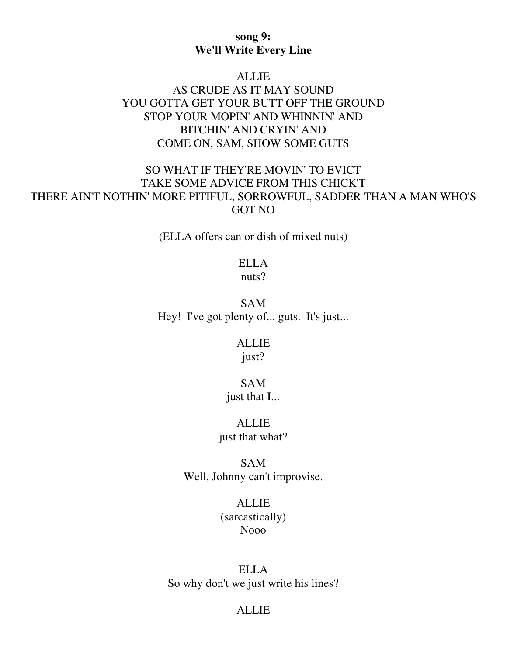## **song 9: We'll Write Every Line**

#### ALLIE

# AS CRUDE AS IT MAY SOUND YOU GOTTA GET YOUR BUTT OFF THE GROUND STOP YOUR MOPIN' AND WHINNIN' AND BITCHIN' AND CRYIN' AND COME ON, SAM, SHOW SOME GUTS

# SO WHAT IF THEY'RE MOVIN' TO EVICT TAKE SOME ADVICE FROM THIS CHICK'T THERE AIN'T NOTHIN' MORE PITIFUL, SORROWFUL, SADDER THAN A MAN WHO'S GOT NO

(ELLA offers can or dish of mixed nuts)

#### ELLA nuts?

SAM Hey! I've got plenty of... guts. It's just...

## ALLIE just?

# SAM

just that I...

# ALLIE

just that what?

SAM Well, Johnny can't improvise.

# ALLIE

(sarcastically) Nooo

## ELLA So why don't we just write his lines?

## ALLIE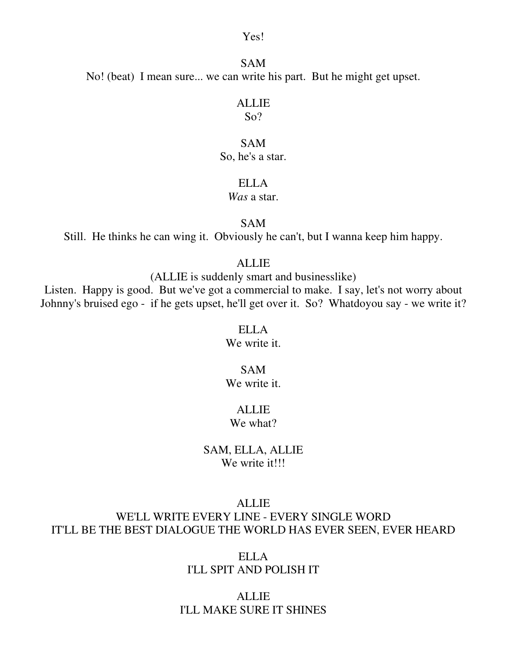Yes!

SAM No! (beat) I mean sure... we can write his part. But he might get upset.

### ALLIE

So?

## SAM

So, he's a star.

## ELLA

## *Was* a star.

#### SAM

Still. He thinks he can wing it. Obviously he can't, but I wanna keep him happy.

## ALLIE

(ALLIE is suddenly smart and businesslike)

Listen. Happy is good. But we've got a commercial to make. I say, let's not worry about Johnny's bruised ego - if he gets upset, he'll get over it. So? Whatdoyou say - we write it?

#### ELLA

We write it.

### SAM We write it.

# ALLIE

We what?

## SAM, ELLA, ALLIE We write it!!!

#### ALLIE

# WE'LL WRITE EVERY LINE - EVERY SINGLE WORD IT'LL BE THE BEST DIALOGUE THE WORLD HAS EVER SEEN, EVER HEARD

ELLA I'LL SPIT AND POLISH IT

## ALLIE I'LL MAKE SURE IT SHINES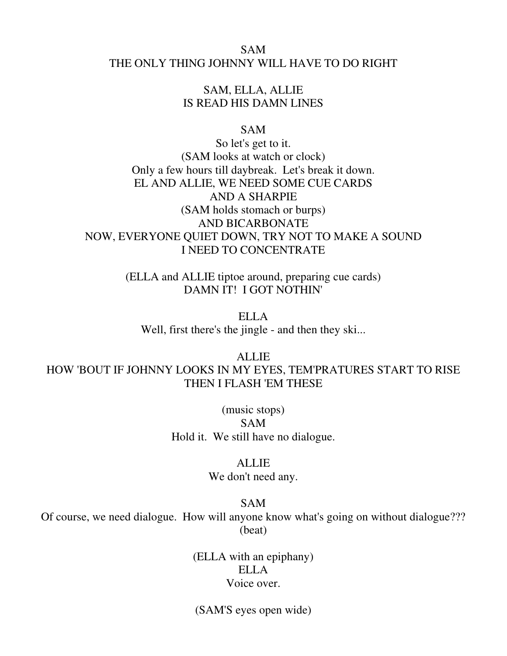## SAM THE ONLY THING JOHNNY WILL HAVE TO DO RIGHT

## SAM, ELLA, ALLIE IS READ HIS DAMN LINES

### SAM

So let's get to it. (SAM looks at watch or clock) Only a few hours till daybreak. Let's break it down. EL AND ALLIE, WE NEED SOME CUE CARDS AND A SHARPIE (SAM holds stomach or burps) AND BICARBONATE NOW, EVERYONE QUIET DOWN, TRY NOT TO MAKE A SOUND I NEED TO CONCENTRATE

> (ELLA and ALLIE tiptoe around, preparing cue cards) DAMN IT! I GOT NOTHIN'

ELLA Well, first there's the jingle - and then they ski...

ALLIE HOW 'BOUT IF JOHNNY LOOKS IN MY EYES, TEM'PRATURES START TO RISE THEN I FLASH 'EM THESE

> (music stops) SAM Hold it. We still have no dialogue.

### ALLIE

We don't need any.

### SAM

Of course, we need dialogue. How will anyone know what's going on without dialogue??? (beat)

> (ELLA with an epiphany) ELLA Voice over.

(SAM'S eyes open wide)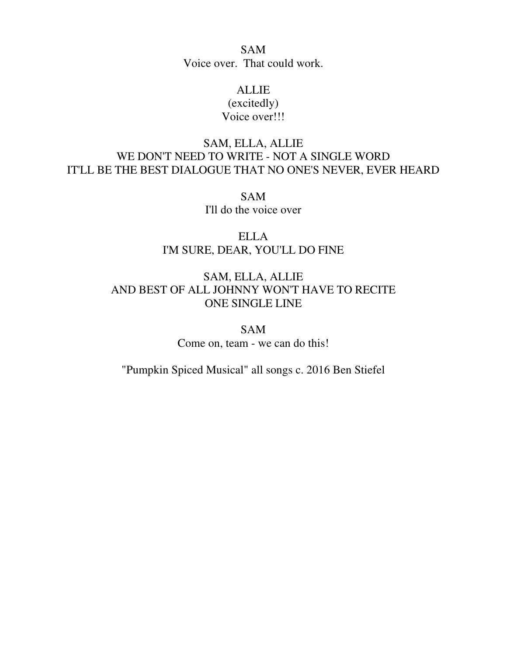SAM Voice over. That could work.

## ALLIE (excitedly) Voice over!!!

# SAM, ELLA, ALLIE WE DON'T NEED TO WRITE - NOT A SINGLE WORD IT'LL BE THE BEST DIALOGUE THAT NO ONE'S NEVER, EVER HEARD

SAM I'll do the voice over

ELLA I'M SURE, DEAR, YOU'LL DO FINE

# SAM, ELLA, ALLIE AND BEST OF ALL JOHNNY WON'T HAVE TO RECITE ONE SINGLE LINE

SAM Come on, team - we can do this!